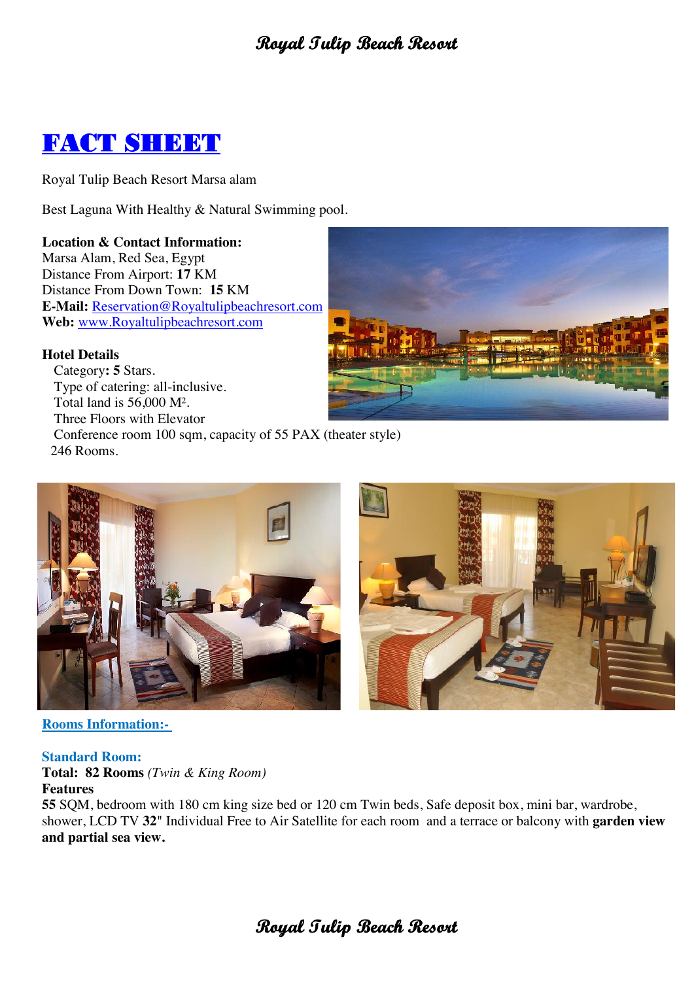

Royal Tulip Beach Resort Marsa alam

Best Laguna With Healthy & Natural Swimming pool.

**Location & Contact Information:** Marsa Alam, Red Sea, Egypt Distance From Airport: **17** KM Distance From Down Town: **15** KM **E-Mail:** Reservation@Royaltulipbeachresort.com **Web:** www.Royaltulipbeachresort.com

## **Hotel Details**

 Category**: 5** Stars. Type of catering: all-inclusive. Total land is 56,000 M². Three Floors with Elevator Conference room 100 sqm, capacity of 55 PAX (theater style) 246 Rooms.







## **Rooms Information:-**

#### **Standard Room:**

**Total: 82 Rooms** *(Twin & King Room)* **Features**

**55** SQM, bedroom with 180 cm king size bed or 120 cm Twin beds, Safe deposit box, mini bar, wardrobe, shower, LCD TV **32**" Individual Free to Air Satellite for each room and a terrace or balcony with **garden view and partial sea view.**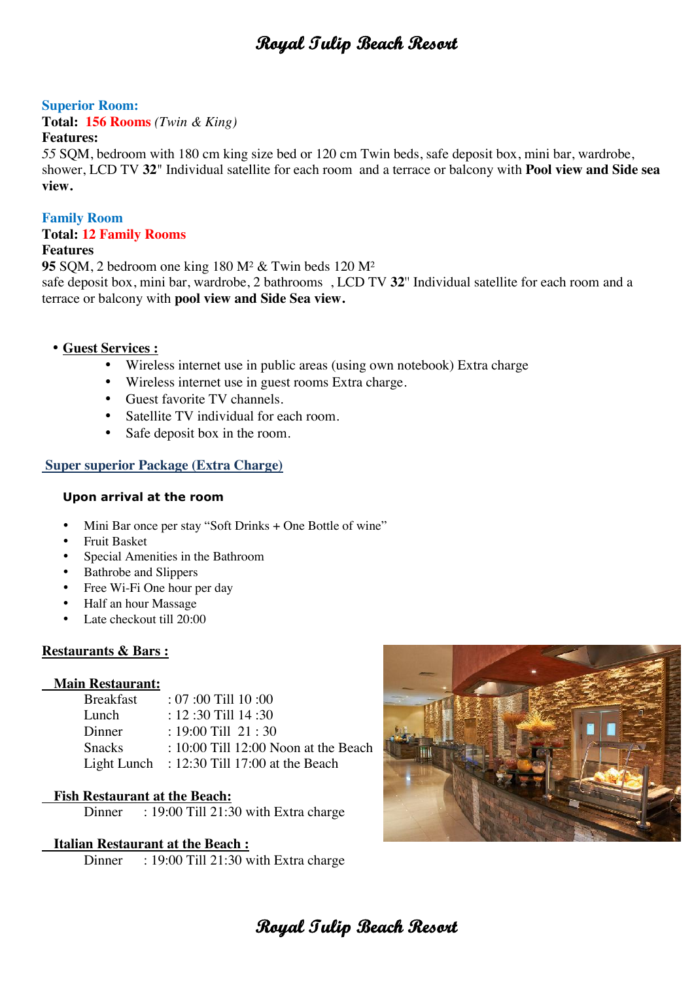## **Superior Room:**

**Total: 156 Rooms** *(Twin & King)*

#### **Features:**

*55* SQM, bedroom with 180 cm king size bed or 120 cm Twin beds, safe deposit box, mini bar, wardrobe, shower, LCD TV **32**" Individual satellite for each room and a terrace or balcony with **Pool view and Side sea view.**

## **Family Room**

## **Total: 12 Family Rooms**

## **Features**

**95** SQM, 2 bedroom one king 180 M² & Twin beds 120 M² safe deposit box, mini bar, wardrobe, 2 bathrooms , LCD TV **32**'' Individual satellite for each room and a terrace or balcony with **pool view and Side Sea view.**

## • **Guest Services :**

- Wireless internet use in public areas (using own notebook) Extra charge
- Wireless internet use in guest rooms Extra charge.
- Guest favorite TV channels.
- Satellite TV individual for each room.
- Safe deposit box in the room.

## **Super superior Package (Extra Charge)**

## **Upon arrival at the room**

- Mini Bar once per stay "Soft Drinks + One Bottle of wine"
- Fruit Basket
- Special Amenities in the Bathroom
- Bathrobe and Slippers
- Free Wi-Fi One hour per day
- Half an hour Massage
- Late checkout till 20:00

## **Restaurants & Bars :**

## **Main Restaurant:**

| <b>Breakfast</b> | $: 07:00$ Till $10:00$                        |
|------------------|-----------------------------------------------|
| Lunch            | $: 12:30$ Till $14:30$                        |
| Dinner           | : 19:00 Till $21:30$                          |
| <b>Snacks</b>    | $: 10:00$ Till 12:00 Noon at the Beach        |
|                  | Light Lunch : $12:30$ Till 17:00 at the Beach |

## **Fish Restaurant at the Beach:**

Dinner : 19:00 Till 21:30 with Extra charge

## **Italian Restaurant at the Beach :**

Dinner : 19:00 Till 21:30 with Extra charge

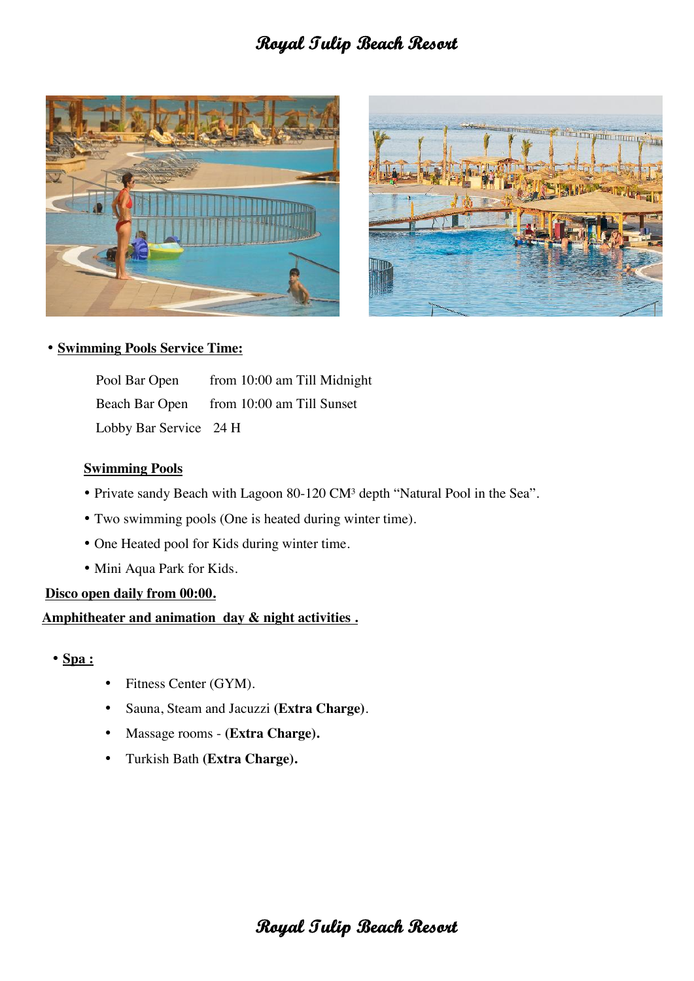



## • **Swimming Pools Service Time:**

Pool Bar Open from 10:00 am Till Midnight Beach Bar Open from 10:00 am Till Sunset Lobby Bar Service 24 H

## **Swimming Pools**

- Private sandy Beach with Lagoon 80-120 CM<sup>3</sup> depth "Natural Pool in the Sea".
- Two swimming pools (One is heated during winter time).
- One Heated pool for Kids during winter time.
- Mini Aqua Park for Kids.

## **Disco open daily from 00:00.**

## **Amphitheater and animation day & night activities .**

- **Spa :**
- Fitness Center (GYM).
- Sauna, Steam and Jacuzzi **(Extra Charge)**.
- Massage rooms **(Extra Charge).**
- Turkish Bath **(Extra Charge).**